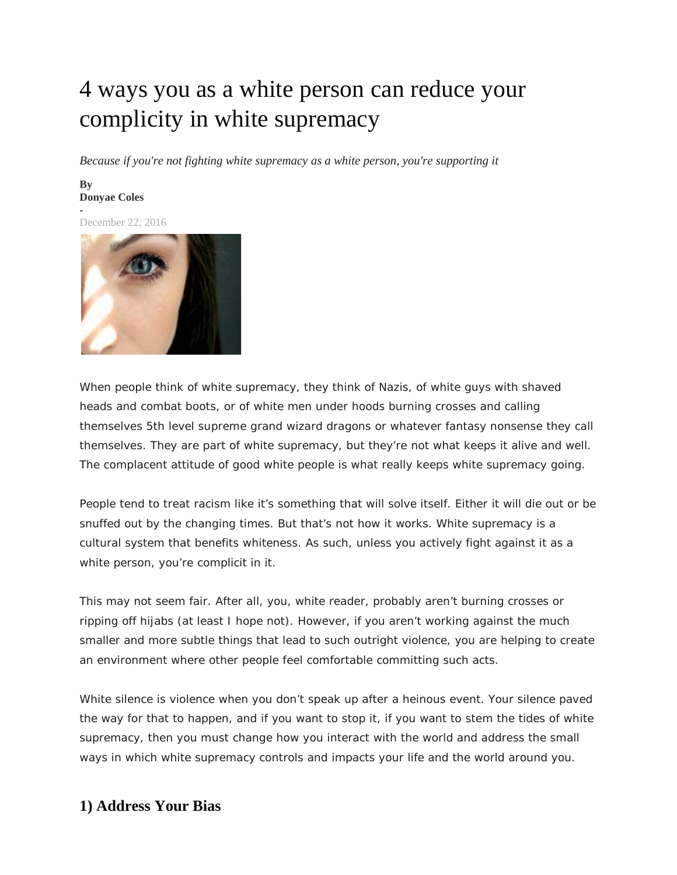# 4 ways you as a white person can reduce your complicity in white supremacy

*Because if you're not fighting white supremacy as a white person, you're supporting it*

#### **By [Donyae Coles](https://resistmedia.org/author/donyae-coles) -**

December 22, 2016



When people think of white supremacy, they think of Nazis, of white guys with shaved heads and combat boots, or of white men under hoods burning crosses and calling themselves 5th level supreme grand wizard dragons or whatever fantasy nonsense they call themselves. They are part of white supremacy, but they're not what keeps it alive and well. The complacent attitude of good white people is what really keeps white supremacy going.

People tend to treat racism like it's something that will solve itself. Either it will die out or be snuffed out by the changing times. But that's not how it works. White supremacy is a cultural system that benefits whiteness. As such, unless you actively fight against it as a white person, you're complicit in it.

This may not seem fair. After all, you, white reader, probably aren't burning crosses or ripping off hijabs (at least I hope not). However, if you aren't working against the much smaller and more subtle things that lead to such outright violence, you are helping to create an environment where other people feel comfortable committing such acts.

White silence *is* violence when you don't speak up after a heinous event. Your silence paved the way for that to happen, and if you want to stop it, if you want to stem the tides of white supremacy, then you must change how you interact with the world and address the small ways in which white supremacy controls and impacts your life and the world around you.

### **1) Address Your Bias**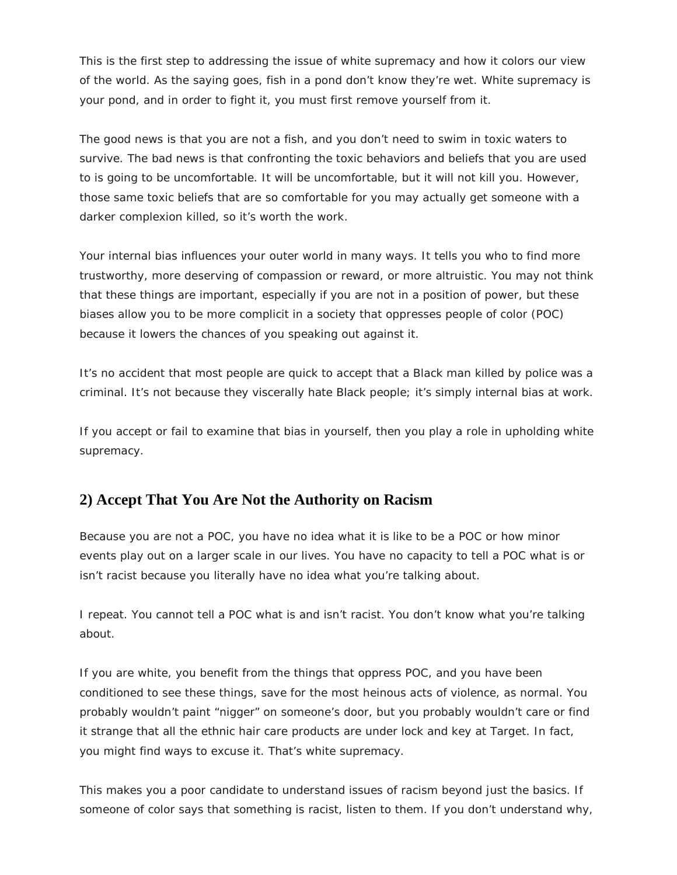This is the first step to addressing the issue of white supremacy and how it colors our view of the world. As the saying goes, fish in a pond don't know they're wet. White supremacy is your pond, and in order to fight it, you must first remove yourself from it.

The good news is that you are not a fish, and you don't need to swim in toxic waters to survive. The bad news is that confronting the toxic behaviors and beliefs that you are used to is going to be uncomfortable. It will be uncomfortable, but it will not kill you. However, those same toxic beliefs that are so comfortable for you may actually get someone with a darker complexion killed, so it's worth the work.

Your internal bias influences your outer world in many ways. It tells you who to find more trustworthy, more deserving of compassion or reward, or more altruistic. You may not think that these things are important, especially if you are not in a position of power, but these biases allow you to be more complicit in a society that oppresses people of color (POC) because it lowers the chances of you speaking out against it.

It's no accident that most people are quick to accept that a Black man killed by police was a criminal. It's not because they viscerally hate Black people; it's simply internal bias at work.

If you accept or fail to examine that bias in yourself, then you play a role in upholding white supremacy.

# **2) Accept That You Are Not the Authority on Racism**

Because you are not a POC, you have no idea what it is like to be a POC or how minor events play out on a larger scale in our lives. You have no capacity to tell a POC what is or isn't racist because you literally have no idea what you're talking about.

I repeat. *You cannot tell a POC what is and isn't racist. You don't know what you're talking about.*

If you are white, you benefit from the things that oppress POC, and you have been conditioned to see these things, save for the most heinous acts of violence, as normal. You probably wouldn't paint "nigger" on someone's door, but you probably wouldn't care or find it strange that all the ethnic hair care products are under lock and key at Target. In fact, you might find ways to excuse it. That's white supremacy.

This makes you a poor candidate to understand issues of racism beyond just the basics. If someone of color says that something is racist, listen to them. If you don't understand why,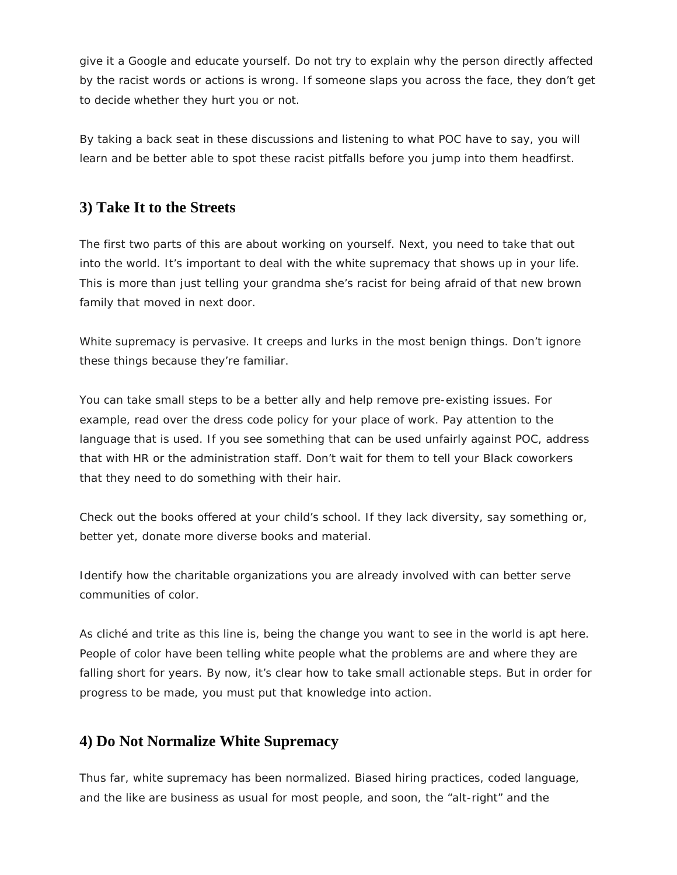give it a Google and educate yourself. Do not try to explain why the person directly affected by the racist words or actions is wrong. If someone slaps you across the face, they don't get to decide whether they hurt you or not.

By taking a back seat in these discussions and listening to what POC have to say, you will learn and be better able to spot these racist pitfalls before you jump into them headfirst.

## **3) Take It to the Streets**

The first two parts of this are about working on yourself. Next, you need to take that out into the world. It's important to deal with the white supremacy that shows up in your life. This is more than just telling your grandma she's racist for being afraid of that new brown family that moved in next door.

White supremacy is pervasive. It creeps and lurks in the most benign things. Don't ignore these things because they're familiar.

You can take small steps to be a better ally and help remove pre-existing issues. For example, read over the dress code policy for your place of work. Pay attention to the language that is used. If you see something that can be used unfairly against POC, address that with HR or the administration staff. Don't wait for them to tell your Black coworkers that they need to do something with their hair.

Check out the books offered at your child's school. If they lack diversity, say something or, better yet, donate more diverse books and material.

Identify how the charitable organizations you are already involved with can better serve communities of color.

As cliché and trite as this line is, being the change you want to see in the world is apt here. People of color have been telling white people what the problems are and where they are falling short for years. By now, it's clear how to take small actionable steps. But in order for progress to be made, you must put that knowledge into action.

### **4) Do Not Normalize White Supremacy**

Thus far, white supremacy has been normalized. Biased hiring practices, coded language, and the like are business as usual for most people, and soon, the "alt-right" and the